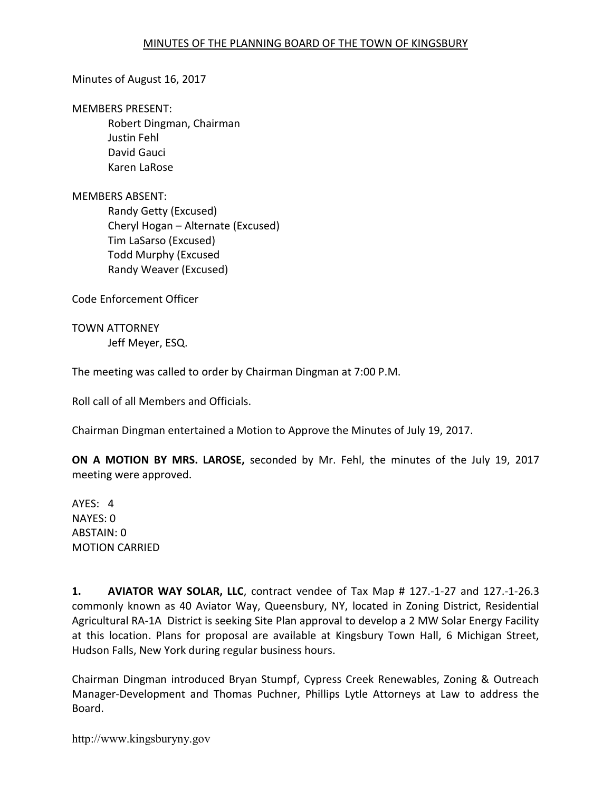#### Minutes of August 16, 2017

#### MEMBERS PRESENT:

Robert Dingman, Chairman Justin Fehl David Gauci Karen LaRose

#### MEMBERS ABSENT:

Randy Getty (Excused) Cheryl Hogan – Alternate (Excused) Tim LaSarso (Excused) Todd Murphy (Excused Randy Weaver (Excused)

Code Enforcement Officer

TOWN ATTORNEY Jeff Meyer, ESQ.

The meeting was called to order by Chairman Dingman at 7:00 P.M.

Roll call of all Members and Officials.

Chairman Dingman entertained a Motion to Approve the Minutes of July 19, 2017.

ON A MOTION BY MRS. LAROSE, seconded by Mr. Fehl, the minutes of the July 19, 2017 meeting were approved.

AYES: 4 NAYES: 0 ABSTAIN: 0 MOTION CARRIED

1. AVIATOR WAY SOLAR, LLC, contract vendee of Tax Map # 127.-1-27 and 127.-1-26.3 commonly known as 40 Aviator Way, Queensbury, NY, located in Zoning District, Residential Agricultural RA-1A District is seeking Site Plan approval to develop a 2 MW Solar Energy Facility at this location. Plans for proposal are available at Kingsbury Town Hall, 6 Michigan Street, Hudson Falls, New York during regular business hours.

Chairman Dingman introduced Bryan Stumpf, Cypress Creek Renewables, Zoning & Outreach Manager-Development and Thomas Puchner, Phillips Lytle Attorneys at Law to address the Board.

http://www.kingsburyny.gov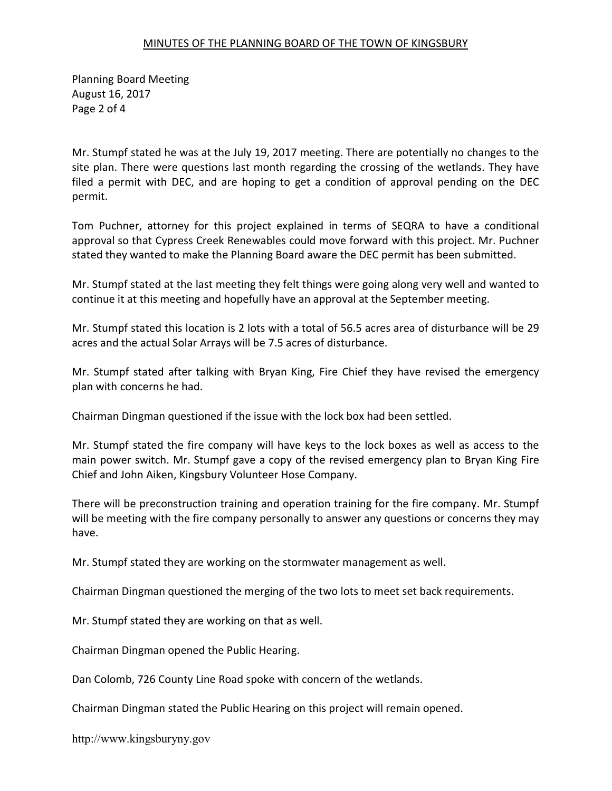## MINUTES OF THE PLANNING BOARD OF THE TOWN OF KINGSBURY

Planning Board Meeting August 16, 2017 Page 2 of 4

Mr. Stumpf stated he was at the July 19, 2017 meeting. There are potentially no changes to the site plan. There were questions last month regarding the crossing of the wetlands. They have filed a permit with DEC, and are hoping to get a condition of approval pending on the DEC permit.

Tom Puchner, attorney for this project explained in terms of SEQRA to have a conditional approval so that Cypress Creek Renewables could move forward with this project. Mr. Puchner stated they wanted to make the Planning Board aware the DEC permit has been submitted.

Mr. Stumpf stated at the last meeting they felt things were going along very well and wanted to continue it at this meeting and hopefully have an approval at the September meeting.

Mr. Stumpf stated this location is 2 lots with a total of 56.5 acres area of disturbance will be 29 acres and the actual Solar Arrays will be 7.5 acres of disturbance.

Mr. Stumpf stated after talking with Bryan King, Fire Chief they have revised the emergency plan with concerns he had.

Chairman Dingman questioned if the issue with the lock box had been settled.

Mr. Stumpf stated the fire company will have keys to the lock boxes as well as access to the main power switch. Mr. Stumpf gave a copy of the revised emergency plan to Bryan King Fire Chief and John Aiken, Kingsbury Volunteer Hose Company.

There will be preconstruction training and operation training for the fire company. Mr. Stumpf will be meeting with the fire company personally to answer any questions or concerns they may have.

Mr. Stumpf stated they are working on the stormwater management as well.

Chairman Dingman questioned the merging of the two lots to meet set back requirements.

Mr. Stumpf stated they are working on that as well.

Chairman Dingman opened the Public Hearing.

Dan Colomb, 726 County Line Road spoke with concern of the wetlands.

Chairman Dingman stated the Public Hearing on this project will remain opened.

http://www.kingsburyny.gov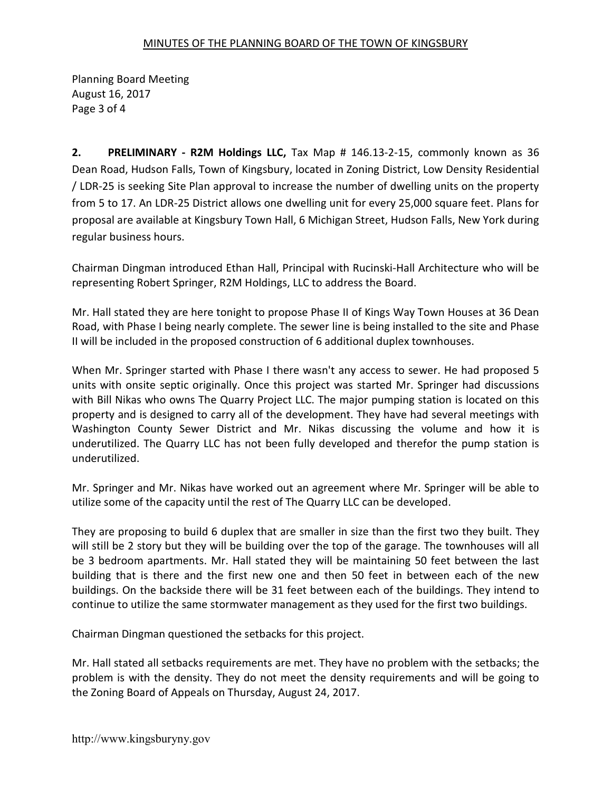# MINUTES OF THE PLANNING BOARD OF THE TOWN OF KINGSBURY

Planning Board Meeting August 16, 2017 Page 3 of 4

2. PRELIMINARY - R2M Holdings LLC, Tax Map # 146.13-2-15, commonly known as 36 Dean Road, Hudson Falls, Town of Kingsbury, located in Zoning District, Low Density Residential / LDR-25 is seeking Site Plan approval to increase the number of dwelling units on the property from 5 to 17. An LDR-25 District allows one dwelling unit for every 25,000 square feet. Plans for proposal are available at Kingsbury Town Hall, 6 Michigan Street, Hudson Falls, New York during regular business hours.

Chairman Dingman introduced Ethan Hall, Principal with Rucinski-Hall Architecture who will be representing Robert Springer, R2M Holdings, LLC to address the Board.

Mr. Hall stated they are here tonight to propose Phase II of Kings Way Town Houses at 36 Dean Road, with Phase I being nearly complete. The sewer line is being installed to the site and Phase II will be included in the proposed construction of 6 additional duplex townhouses.

When Mr. Springer started with Phase I there wasn't any access to sewer. He had proposed 5 units with onsite septic originally. Once this project was started Mr. Springer had discussions with Bill Nikas who owns The Quarry Project LLC. The major pumping station is located on this property and is designed to carry all of the development. They have had several meetings with Washington County Sewer District and Mr. Nikas discussing the volume and how it is underutilized. The Quarry LLC has not been fully developed and therefor the pump station is underutilized.

Mr. Springer and Mr. Nikas have worked out an agreement where Mr. Springer will be able to utilize some of the capacity until the rest of The Quarry LLC can be developed.

They are proposing to build 6 duplex that are smaller in size than the first two they built. They will still be 2 story but they will be building over the top of the garage. The townhouses will all be 3 bedroom apartments. Mr. Hall stated they will be maintaining 50 feet between the last building that is there and the first new one and then 50 feet in between each of the new buildings. On the backside there will be 31 feet between each of the buildings. They intend to continue to utilize the same stormwater management as they used for the first two buildings.

Chairman Dingman questioned the setbacks for this project.

Mr. Hall stated all setbacks requirements are met. They have no problem with the setbacks; the problem is with the density. They do not meet the density requirements and will be going to the Zoning Board of Appeals on Thursday, August 24, 2017.